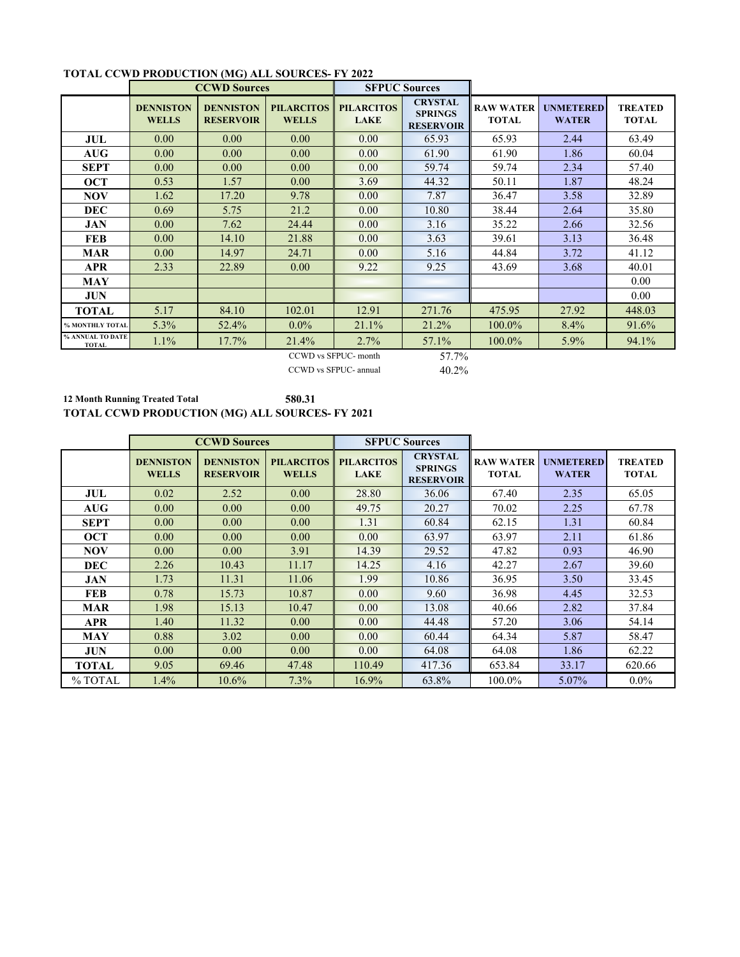|                                  | <b>CCWD Sources</b>              |                                      |                                   | <b>SFPUC Sources</b>             |                                                      |                                  |                                  |                                |  |  |
|----------------------------------|----------------------------------|--------------------------------------|-----------------------------------|----------------------------------|------------------------------------------------------|----------------------------------|----------------------------------|--------------------------------|--|--|
|                                  | <b>DENNISTON</b><br><b>WELLS</b> | <b>DENNISTON</b><br><b>RESERVOIR</b> | <b>PILARCITOS</b><br><b>WELLS</b> | <b>PILARCITOS</b><br><b>LAKE</b> | <b>CRYSTAL</b><br><b>SPRINGS</b><br><b>RESERVOIR</b> | <b>RAW WATER</b><br><b>TOTAL</b> | <b>UNMETERED</b><br><b>WATER</b> | <b>TREATED</b><br><b>TOTAL</b> |  |  |
| JUL                              | 0.00                             | 0.00 <sub>1</sub>                    | 0.00 <sub>1</sub>                 | 0.00                             | 65.93                                                | 65.93                            | 2.44                             | 63.49                          |  |  |
| <b>AUG</b>                       | 0.00                             | 0.00 <sub>1</sub>                    | 0.00 <sub>1</sub>                 | 0.00                             | 61.90                                                | 61.90                            | 1.86                             | 60.04                          |  |  |
| <b>SEPT</b>                      | 0.00                             | 0.00 <sub>1</sub>                    | 0.00                              | 0.00                             | 59.74                                                | 59.74                            | 2.34                             | 57.40                          |  |  |
| <b>OCT</b>                       | 0.53                             | 1.57                                 | 0.00                              | 3.69                             | 44.32                                                | 50.11                            | 1.87                             | 48.24                          |  |  |
| <b>NOV</b>                       | 1.62                             | 17.20                                | 9.78                              | 0.00                             | 7.87                                                 | 36.47                            | 3.58                             | 32.89                          |  |  |
| <b>DEC</b>                       | 0.69                             | 5.75                                 | 21.2                              | 0.00                             | 10.80                                                | 38.44                            | 2.64                             | 35.80                          |  |  |
| <b>JAN</b>                       | 0.00                             | 7.62                                 | 24.44                             | 0.00                             | 3.16                                                 | 35.22                            | 2.66                             | 32.56                          |  |  |
| <b>FEB</b>                       | 0.00                             | 14.10                                | 21.88                             | 0.00                             | 3.63                                                 | 39.61                            | 3.13                             | 36.48                          |  |  |
| <b>MAR</b>                       | 0.00                             | 14.97                                | 24.71                             | 0.00                             | 5.16                                                 | 44.84                            | 3.72                             | 41.12                          |  |  |
| APR                              | 2.33                             | 22.89                                | 0.00 <sub>1</sub>                 | 9.22                             | 9.25                                                 | 43.69                            | 3.68                             | 40.01                          |  |  |
| MAY                              |                                  |                                      |                                   |                                  |                                                      |                                  |                                  | 0.00                           |  |  |
| <b>JUN</b>                       |                                  |                                      |                                   |                                  |                                                      |                                  |                                  | 0.00                           |  |  |
| <b>TOTAL</b>                     | 5.17                             | 84.10                                | 102.01                            | 12.91                            | 271.76                                               | 475.95                           | 27.92                            | 448.03                         |  |  |
| % MONTHLY TOTAL                  | 5.3%                             | 52.4%                                | $0.0\%$                           | 21.1%                            | 21.2%                                                | 100.0%                           | 8.4%                             | 91.6%                          |  |  |
| % ANNUAL TO DATE<br><b>TOTAL</b> | $1.1\%$                          | 17.7%                                | 21.4%                             | $2.7\%$                          | 57.1%                                                | $100.0\%$                        | $5.9\%$                          | 94.1%                          |  |  |
| 57.7%<br>CCWD vs SFPUC- month    |                                  |                                      |                                   |                                  |                                                      |                                  |                                  |                                |  |  |

## **TOTAL CCWD PRODUCTION (MG) ALL SOURCES- FY 2022**

CCWD vs SFPUC- annual

40.2%

**12 Month Running Treated Total 580.31 TOTAL CCWD PRODUCTION (MG) ALL SOURCES- FY 2021**

|                                    | <b>CCWD Sources</b>              |                                      |                                   | <b>SFPUC Sources</b>             |                                                      |                                  |                                  |                                |
|------------------------------------|----------------------------------|--------------------------------------|-----------------------------------|----------------------------------|------------------------------------------------------|----------------------------------|----------------------------------|--------------------------------|
|                                    | <b>DENNISTON</b><br><b>WELLS</b> | <b>DENNISTON</b><br><b>RESERVOIR</b> | <b>PILARCITOS</b><br><b>WELLS</b> | <b>PILARCITOS</b><br><b>LAKE</b> | <b>CRYSTAL</b><br><b>SPRINGS</b><br><b>RESERVOIR</b> | <b>RAW WATER</b><br><b>TOTAL</b> | <b>UNMETERED</b><br><b>WATER</b> | <b>TREATED</b><br><b>TOTAL</b> |
| JUL                                | 0.02                             | 2.52                                 | 0.00                              | 28.80                            | 36.06                                                | 67.40                            | 2.35                             | 65.05                          |
| $\mathbf{A} \mathbf{U} \mathbf{G}$ | 0.00                             | 0.00                                 | 0.00 <sub>1</sub>                 | 49.75                            | 20.27                                                | 70.02                            | 2.25                             | 67.78                          |
| <b>SEPT</b>                        | 0.00                             | 0.00                                 | 0.00                              | 1.31                             | 60.84                                                | 62.15                            | 1.31                             | 60.84                          |
| <b>OCT</b>                         | 0.00                             | 0.00                                 | 0.00                              | 0.00                             | 63.97                                                | 63.97                            | 2.11                             | 61.86                          |
| <b>NOV</b>                         | 0.00                             | 0.00                                 | 3.91                              | 14.39                            | 29.52                                                | 47.82                            | 0.93                             | 46.90                          |
| <b>DEC</b>                         | 2.26                             | 10.43                                | 11.17                             | 14.25                            | 4.16                                                 | 42.27                            | 2.67                             | 39.60                          |
| JAN                                | 1.73                             | 11.31                                | 11.06                             | 1.99                             | 10.86                                                | 36.95                            | 3.50                             | 33.45                          |
| <b>FEB</b>                         | 0.78                             | 15.73                                | 10.87                             | 0.00                             | 9.60                                                 | 36.98                            | 4.45                             | 32.53                          |
| <b>MAR</b>                         | 1.98                             | 15.13                                | 10.47                             | 0.00                             | 13.08                                                | 40.66                            | 2.82                             | 37.84                          |
| <b>APR</b>                         | 1.40                             | 11.32                                | 0.00                              | 0.00                             | 44.48                                                | 57.20                            | 3.06                             | 54.14                          |
| <b>MAY</b>                         | 0.88                             | 3.02                                 | 0.00                              | 0.00                             | 60.44                                                | 64.34                            | 5.87                             | 58.47                          |
| JUN                                | 0.00                             | 0.00                                 | 0.00                              | 0.00                             | 64.08                                                | 64.08                            | 1.86                             | 62.22                          |
| <b>TOTAL</b>                       | 9.05                             | 69.46                                | 47.48                             | 110.49                           | 417.36                                               | 653.84                           | 33.17                            | 620.66                         |
| % TOTAL                            | $1.4\%$                          | $10.6\%$                             | $7.3\%$                           | 16.9%                            | 63.8%                                                | 100.0%                           | 5.07%                            | $0.0\%$                        |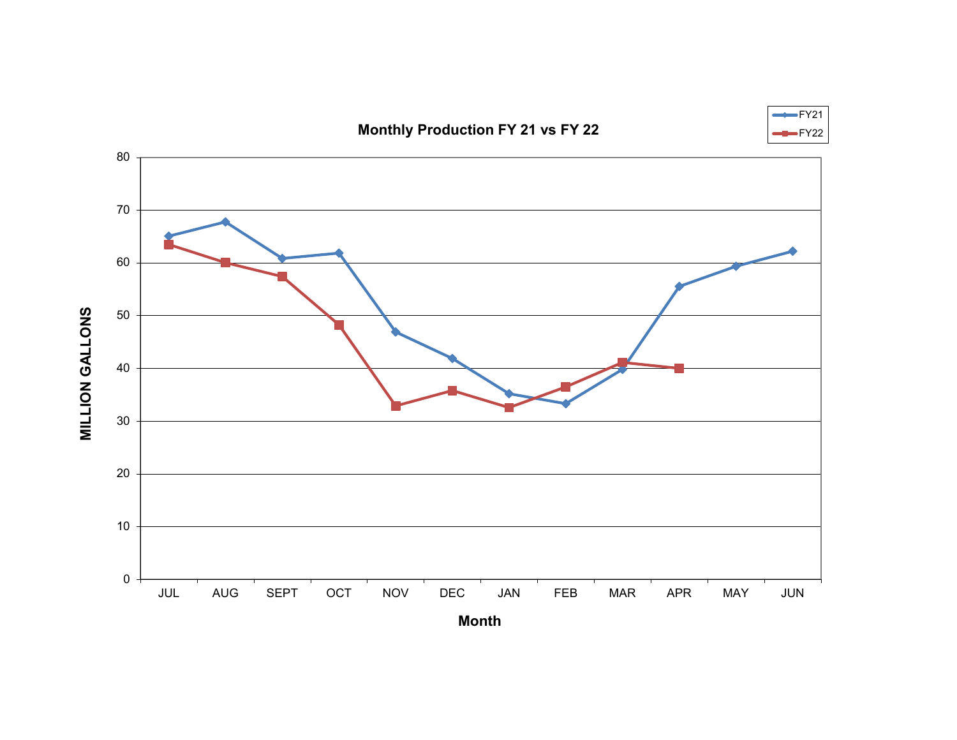## **Monthly Production FY 21 vs FY 22**